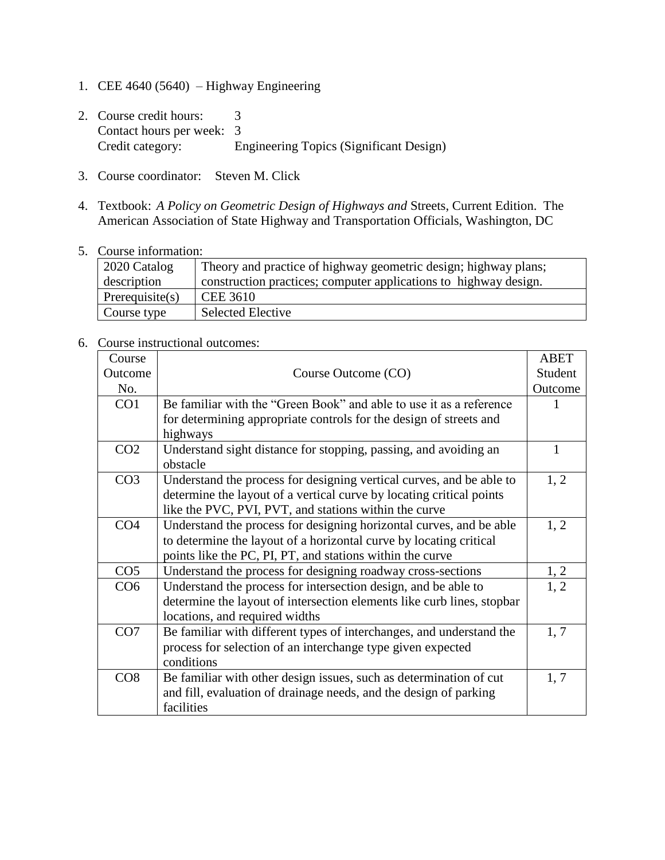- 1. CEE 4640 (5640) Highway Engineering
- 2. Course credit hours: 3 Contact hours per week: 3<br>Credit category: E Engineering Topics (Significant Design)
- 3. Course coordinator: Steven M. Click
- 4. Textbook: *A Policy on Geometric Design of Highways and* Streets, Current Edition. The American Association of State Highway and Transportation Officials, Washington, DC
- 5. Course information:

| 2020 Catalog       | Theory and practice of highway geometric design; highway plans;  |
|--------------------|------------------------------------------------------------------|
| description        | construction practices; computer applications to highway design. |
| Prerequisite $(s)$ | CEE 3610                                                         |
| Course type        | <b>Selected Elective</b>                                         |

6. Course instructional outcomes:

| Course          |                                                                        | <b>ABET</b>  |
|-----------------|------------------------------------------------------------------------|--------------|
| Outcome         | Course Outcome (CO)                                                    | Student      |
| No.             |                                                                        | Outcome      |
| CO <sub>1</sub> | Be familiar with the "Green Book" and able to use it as a reference    | 1            |
|                 | for determining appropriate controls for the design of streets and     |              |
|                 | highways                                                               |              |
| CO <sub>2</sub> | Understand sight distance for stopping, passing, and avoiding an       | $\mathbf{1}$ |
|                 | obstacle                                                               |              |
| CO <sub>3</sub> | Understand the process for designing vertical curves, and be able to   | 1, 2         |
|                 | determine the layout of a vertical curve by locating critical points   |              |
|                 | like the PVC, PVI, PVT, and stations within the curve                  |              |
| CO <sub>4</sub> | Understand the process for designing horizontal curves, and be able    | 1, 2         |
|                 | to determine the layout of a horizontal curve by locating critical     |              |
|                 | points like the PC, PI, PT, and stations within the curve              |              |
| CO <sub>5</sub> | Understand the process for designing roadway cross-sections            | 1, 2         |
| CO6             | Understand the process for intersection design, and be able to         | 1.2          |
|                 | determine the layout of intersection elements like curb lines, stopbar |              |
|                 | locations, and required widths                                         |              |
| CO7             | Be familiar with different types of interchanges, and understand the   | 1, 7         |
|                 | process for selection of an interchange type given expected            |              |
|                 | conditions                                                             |              |
| CO8             | Be familiar with other design issues, such as determination of cut     | 1, 7         |
|                 | and fill, evaluation of drainage needs, and the design of parking      |              |
|                 | facilities                                                             |              |